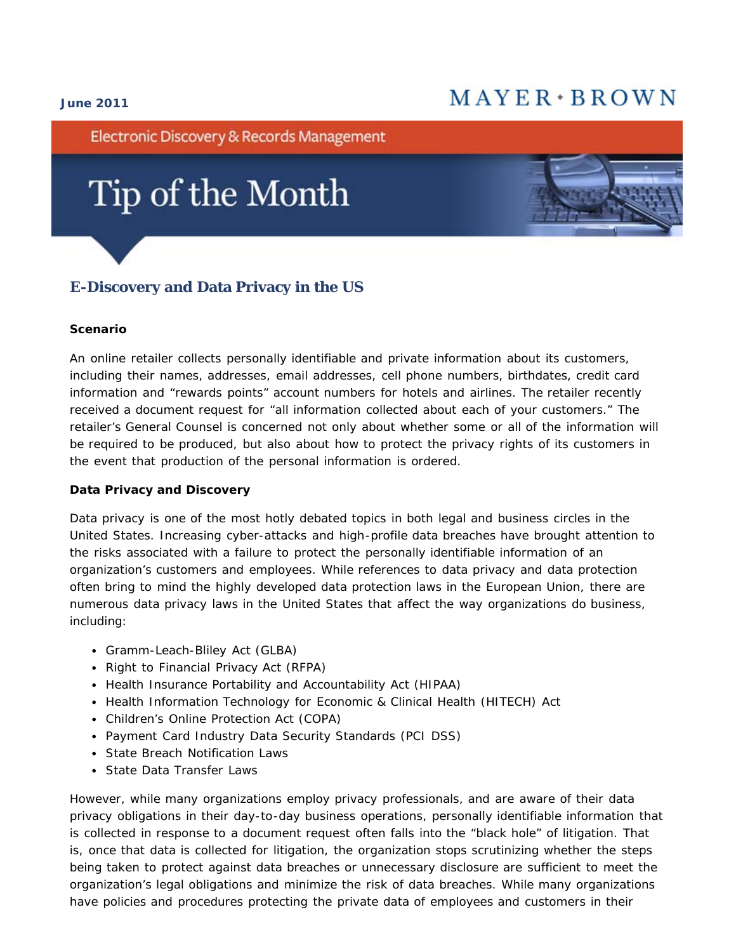#### **June 2011**

# $MAYER * BROWN$

Electronic Discovery & Records Management

# Tip of the Month



#### **Scenario**

An online retailer collects personally identifiable and private information about its customers, including their names, addresses, email addresses, cell phone numbers, birthdates, credit card information and "rewards points" account numbers for hotels and airlines. The retailer recently received a document request for "all information collected about each of your customers." The retailer's General Counsel is concerned not only about whether some or all of the information will be required to be produced, but also about how to protect the privacy rights of its customers in the event that production of the personal information is ordered.

#### **Data Privacy and Discovery**

Data privacy is one of the most hotly debated topics in both legal and business circles in the United States. Increasing cyber-attacks and high-profile data breaches have brought attention to the risks associated with a failure to protect the personally identifiable information of an organization's customers and employees. While references to data privacy and data protection often bring to mind the highly developed data protection laws in the European Union, there are numerous data privacy laws in the United States that affect the way organizations do business, including:

- Gramm-Leach-Bliley Act (GLBA)
- Right to Financial Privacy Act (RFPA)
- Health Insurance Portability and Accountability Act (HIPAA)
- Health Information Technology for Economic & Clinical Health (HITECH) Act
- Children's Online Protection Act (COPA)
- Payment Card Industry Data Security Standards (PCI DSS)
- State Breach Notification Laws
- State Data Transfer Laws

However, while many organizations employ privacy professionals, and are aware of their data privacy obligations in their day-to-day business operations, personally identifiable information that is collected in response to a document request often falls into the "black hole" of litigation. That is, once that data is collected for litigation, the organization stops scrutinizing whether the steps being taken to protect against data breaches or unnecessary disclosure are sufficient to meet the organization's legal obligations and minimize the risk of data breaches. While many organizations have policies and procedures protecting the private data of employees and customers in their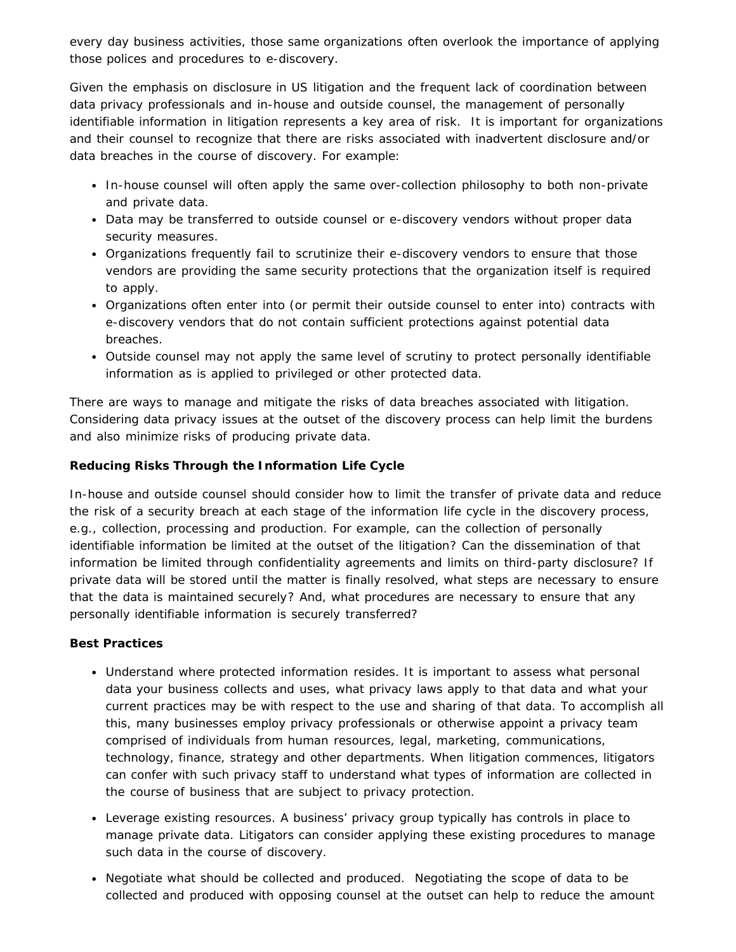every day business activities, those same organizations often overlook the importance of applying those polices and procedures to e-discovery.

Given the emphasis on disclosure in US litigation and the frequent lack of coordination between data privacy professionals and in-house and outside counsel, the management of personally identifiable information in litigation represents a key area of risk. It is important for organizations and their counsel to recognize that there *are* risks associated with inadvertent disclosure and/or data breaches in the course of discovery. For example:

- In-house counsel will often apply the same over-collection philosophy to both non-private and private data.
- Data may be transferred to outside counsel or e-discovery vendors without proper data security measures.
- Organizations frequently fail to scrutinize their e-discovery vendors to ensure that those vendors are providing the same security protections that the organization itself is required to apply.
- Organizations often enter into (or permit their outside counsel to enter into) contracts with e-discovery vendors that do not contain sufficient protections against potential data breaches.
- Outside counsel may not apply the same level of scrutiny to protect personally identifiable information as is applied to privileged or other protected data.

There are ways to manage and mitigate the risks of data breaches associated with litigation. Considering data privacy issues at the outset of the discovery process can help limit the burdens and also minimize risks of producing private data.

## **Reducing Risks Through the Information Life Cycle**

In-house and outside counsel should consider how to limit the transfer of private data and reduce the risk of a security breach at each stage of the information life cycle in the discovery process, e.g., collection, processing and production. For example, can the collection of personally identifiable information be limited at the outset of the litigation? Can the dissemination of that information be limited through confidentiality agreements and limits on third-party disclosure? If private data will be stored until the matter is finally resolved, what steps are necessary to ensure that the data is maintained securely? And, what procedures are necessary to ensure that any personally identifiable information is securely transferred?

### **Best Practices**

- *Understand where protected information resides.* It is important to assess what personal data your business collects and uses, what privacy laws apply to that data and what your current practices may be with respect to the use and sharing of that data. To accomplish all this, many businesses employ privacy professionals or otherwise appoint a privacy team comprised of individuals from human resources, legal, marketing, communications, technology, finance, strategy and other departments. When litigation commences, litigators can confer with such privacy staff to understand what types of information are collected in the course of business that are subject to privacy protection.
- *Leverage existing resources.* A business' privacy group typically has controls in place to manage private data. Litigators can consider applying these existing procedures to manage such data in the course of discovery.
- *Negotiate what should be collected and produced.* Negotiating the scope of data to be collected and produced with opposing counsel at the outset can help to reduce the amount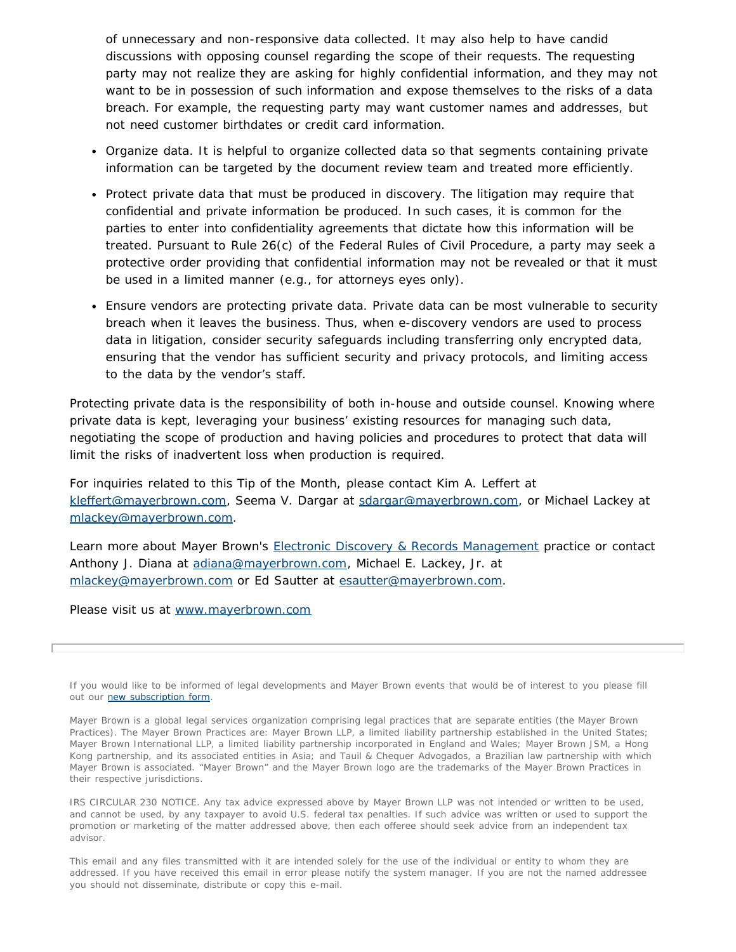of unnecessary and non-responsive data collected. It may also help to have candid discussions with opposing counsel regarding the scope of their requests. The requesting party may not realize they are asking for highly confidential information, and they may not want to be in possession of such information and expose themselves to the risks of a data breach. For example, the requesting party may want customer names and addresses, but not need customer birthdates or credit card information.

- *Organize data.* It is helpful to organize collected data so that segments containing private information can be targeted by the document review team and treated more efficiently.
- *Protect private data that must be produced in discovery*. The litigation may require that confidential and private information be produced. In such cases, it is common for the parties to enter into confidentiality agreements that dictate how this information will be treated. Pursuant to Rule 26(c) of the Federal Rules of Civil Procedure, a party may seek a protective order providing that confidential information may not be revealed or that it must be used in a limited manner (e.g., for attorneys eyes only).
- *Ensure vendors are protecting private data.* Private data can be most vulnerable to security breach when it leaves the business. Thus, when e-discovery vendors are used to process data in litigation, consider security safeguards including transferring only encrypted data, ensuring that the vendor has sufficient security and privacy protocols, and limiting access to the data by the vendor's staff.

Protecting private data is the responsibility of both in-house and outside counsel. Knowing where private data is kept, leveraging your business' existing resources for managing such data, negotiating the scope of production and having policies and procedures to protect that data will limit the risks of inadvertent loss when production is required.

For inquiries related to this Tip of the Month, please contact Kim A. Leffert at [kleffert@mayerbrown.com,](mailto:kleffert@mayerbrown.com) Seema V. Dargar at [sdargar@mayerbrown.com,](mailto:sdargar@mayerbrown.com) or Michael Lackey at [mlackey@mayerbrown.com.](mailto:mlackey@mayerbrown.com)

Learn more about Mayer Brown's [Electronic Discovery & Records Management](http://www.mayerbrown.com/electronicdiscovery/) practice or contact Anthony J. Diana at [adiana@mayerbrown.com](mailto:adiana@mayerbrown.com), Michael E. Lackey, Jr. at [mlackey@mayerbrown.com](mailto:mlackey@mayerbrown.com) or Ed Sautter at [esautter@mayerbrown.com.](mailto:esautter@mayerbrown.com)

Please visit us at [www.mayerbrown.com](http://www.mayerbrown.com/)

If you would like to be informed of legal developments and Mayer Brown events that would be of interest to you please fill out our [new subscription form.](http://reaction.mayerbrown.com/reaction/RSGenPage.asp?RSID=8C8409EDCBE91F81C32E1B3CC3190DA3AF423917A59B66420)

Mayer Brown is a global legal services organization comprising legal practices that are separate entities (the Mayer Brown Practices). The Mayer Brown Practices are: Mayer Brown LLP, a limited liability partnership established in the United States; Mayer Brown International LLP, a limited liability partnership incorporated in England and Wales; Mayer Brown JSM, a Hong Kong partnership, and its associated entities in Asia; and Tauil & Chequer Advogados, a Brazilian law partnership with which Mayer Brown is associated. "Mayer Brown" and the Mayer Brown logo are the trademarks of the Mayer Brown Practices in their respective jurisdictions.

IRS CIRCULAR 230 NOTICE. Any tax advice expressed above by Mayer Brown LLP was not intended or written to be used, and cannot be used, by any taxpayer to avoid U.S. federal tax penalties. If such advice was written or used to support the promotion or marketing of the matter addressed above, then each offeree should seek advice from an independent tax advisor.

This email and any files transmitted with it are intended solely for the use of the individual or entity to whom they are addressed. If you have received this email in error please notify the system manager. If you are not the named addressee you should not disseminate, distribute or copy this e-mail.